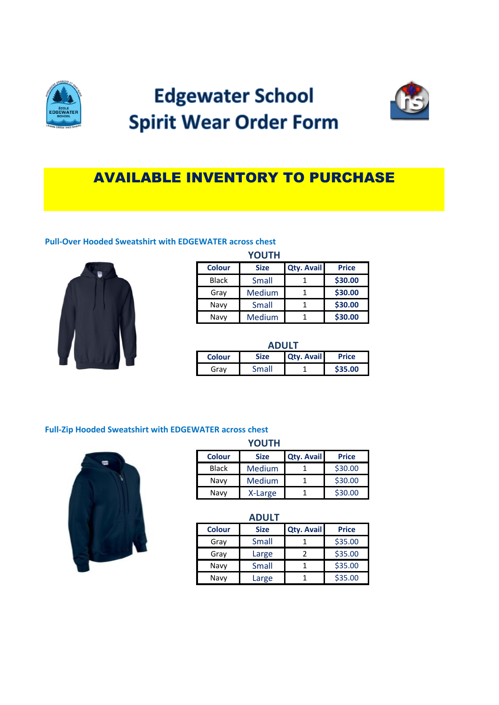

# **Edgewater School Spirit Wear Order Form**



# AVAILABLE INVENTORY TO PURCHASE

#### **Pull-Over Hooded Sweatshirt with EDGEWATER across chest**



### **YOUTH**

| <b>Colour</b> | <b>Size</b> | <b>Qty. Avail</b> | <b>Price</b> |
|---------------|-------------|-------------------|--------------|
| <b>Black</b>  | Small       |                   | \$30.00      |
| Gray          | Medium      |                   | \$30.00      |
| Navy          | Small       |                   | \$30.00      |
| Navy          | Medium      |                   | \$30.00      |

| <b>ADULT</b>  |             |                   |              |
|---------------|-------------|-------------------|--------------|
| <b>Colour</b> | <b>Size</b> | <b>Qty. Avail</b> | <b>Price</b> |
| Grav          | Small       |                   | \$35.00      |

#### **Full-Zip Hooded Sweatshirt with EDGEWATER across chest**



|               | <b>YOUTH</b> |                   |              |
|---------------|--------------|-------------------|--------------|
| <b>Colour</b> | <b>Size</b>  | <b>Qty. Avail</b> | <b>Price</b> |
| Black         | Medium       |                   | \$30.00      |
| Navy          | Medium       |                   | \$30.00      |
| Navy          | X-Large      |                   | \$30.00      |

|               | <b>ADULT</b> |                   |              |
|---------------|--------------|-------------------|--------------|
| <b>Colour</b> | <b>Size</b>  | <b>Qty. Avail</b> | <b>Price</b> |
| Gray          | Small        |                   | \$35.00      |
| Gray          | Large        | 2                 | \$35.00      |
| Navy          | Small        |                   | \$35.00      |
| Navy          | Large        |                   | \$35.00      |